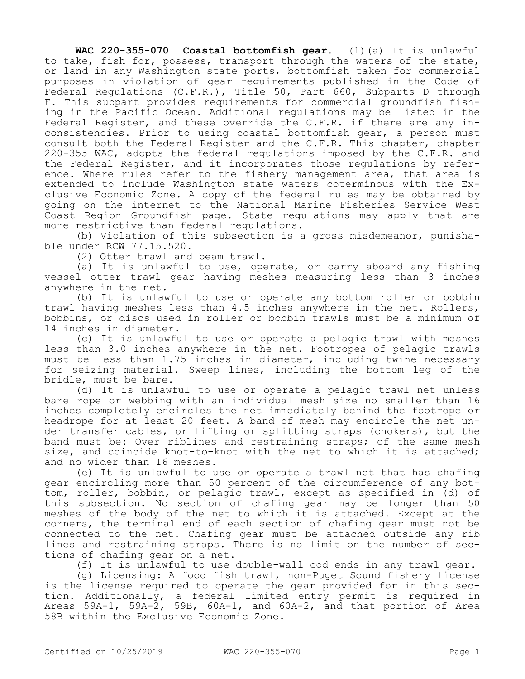**WAC 220-355-070 Coastal bottomfish gear.** (1)(a) It is unlawful to take, fish for, possess, transport through the waters of the state, or land in any Washington state ports, bottomfish taken for commercial purposes in violation of gear requirements published in the Code of Federal Regulations (C.F.R.), Title 50, Part 660, Subparts D through F. This subpart provides requirements for commercial groundfish fishing in the Pacific Ocean. Additional regulations may be listed in the Federal Register, and these override the C.F.R. if there are any inconsistencies. Prior to using coastal bottomfish gear, a person must consult both the Federal Register and the C.F.R. This chapter, chapter 220-355 WAC, adopts the federal regulations imposed by the C.F.R. and the Federal Register, and it incorporates those regulations by reference. Where rules refer to the fishery management area, that area is extended to include Washington state waters coterminous with the Exclusive Economic Zone. A copy of the federal rules may be obtained by going on the internet to the National Marine Fisheries Service West Coast Region Groundfish page. State regulations may apply that are more restrictive than federal regulations.

(b) Violation of this subsection is a gross misdemeanor, punishable under RCW 77.15.520.

(2) Otter trawl and beam trawl.

(a) It is unlawful to use, operate, or carry aboard any fishing vessel otter trawl gear having meshes measuring less than 3 inches anywhere in the net.

(b) It is unlawful to use or operate any bottom roller or bobbin trawl having meshes less than 4.5 inches anywhere in the net. Rollers, bobbins, or discs used in roller or bobbin trawls must be a minimum of 14 inches in diameter.

(c) It is unlawful to use or operate a pelagic trawl with meshes less than 3.0 inches anywhere in the net. Footropes of pelagic trawls must be less than 1.75 inches in diameter, including twine necessary for seizing material. Sweep lines, including the bottom leg of the bridle, must be bare.

(d) It is unlawful to use or operate a pelagic trawl net unless bare rope or webbing with an individual mesh size no smaller than 16 inches completely encircles the net immediately behind the footrope or headrope for at least 20 feet. A band of mesh may encircle the net under transfer cables, or lifting or splitting straps (chokers), but the band must be: Over riblines and restraining straps; of the same mesh size, and coincide knot-to-knot with the net to which it is attached; and no wider than 16 meshes.

(e) It is unlawful to use or operate a trawl net that has chafing gear encircling more than 50 percent of the circumference of any bottom, roller, bobbin, or pelagic trawl, except as specified in (d) of this subsection. No section of chafing gear may be longer than 50 meshes of the body of the net to which it is attached. Except at the corners, the terminal end of each section of chafing gear must not be connected to the net. Chafing gear must be attached outside any rib lines and restraining straps. There is no limit on the number of sections of chafing gear on a net.

(f) It is unlawful to use double-wall cod ends in any trawl gear.

(g) Licensing: A food fish trawl, non-Puget Sound fishery license is the license required to operate the gear provided for in this section. Additionally, a federal limited entry permit is required in Areas 59A-1, 59A-2, 59B, 60A-1, and 60A-2, and that portion of Area 58B within the Exclusive Economic Zone.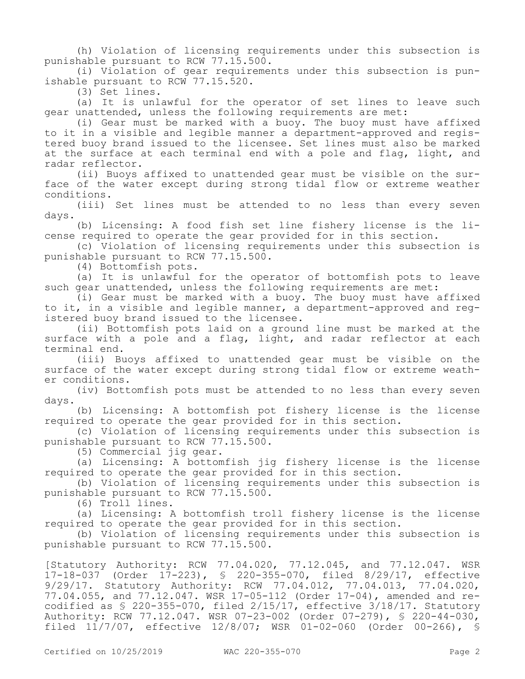(h) Violation of licensing requirements under this subsection is punishable pursuant to RCW 77.15.500.

(i) Violation of gear requirements under this subsection is punishable pursuant to RCW 77.15.520.

(3) Set lines.

(a) It is unlawful for the operator of set lines to leave such gear unattended, unless the following requirements are met:

(i) Gear must be marked with a buoy. The buoy must have affixed to it in a visible and legible manner a department-approved and registered buoy brand issued to the licensee. Set lines must also be marked at the surface at each terminal end with a pole and flag, light, and radar reflector.

(ii) Buoys affixed to unattended gear must be visible on the surface of the water except during strong tidal flow or extreme weather conditions.

(iii) Set lines must be attended to no less than every seven days.

(b) Licensing: A food fish set line fishery license is the license required to operate the gear provided for in this section.

(c) Violation of licensing requirements under this subsection is punishable pursuant to RCW 77.15.500.

(4) Bottomfish pots.

(a) It is unlawful for the operator of bottomfish pots to leave such gear unattended, unless the following requirements are met:

(i) Gear must be marked with a buoy. The buoy must have affixed to it, in a visible and legible manner, a department-approved and registered buoy brand issued to the licensee.

(ii) Bottomfish pots laid on a ground line must be marked at the surface with a pole and a flag, light, and radar reflector at each terminal end.

(iii) Buoys affixed to unattended gear must be visible on the surface of the water except during strong tidal flow or extreme weather conditions.

(iv) Bottomfish pots must be attended to no less than every seven days.

(b) Licensing: A bottomfish pot fishery license is the license required to operate the gear provided for in this section.

(c) Violation of licensing requirements under this subsection is punishable pursuant to RCW 77.15.500.

(5) Commercial jig gear.

(a) Licensing: A bottomfish jig fishery license is the license required to operate the gear provided for in this section.

(b) Violation of licensing requirements under this subsection is punishable pursuant to RCW 77.15.500.

(6) Troll lines.

(a) Licensing: A bottomfish troll fishery license is the license required to operate the gear provided for in this section.

(b) Violation of licensing requirements under this subsection is punishable pursuant to RCW 77.15.500.

[Statutory Authority: RCW 77.04.020, 77.12.045, and 77.12.047. WSR 17-18-037 (Order 17-223), § 220-355-070, filed 8/29/17, effective 9/29/17. Statutory Authority: RCW 77.04.012, 77.04.013, 77.04.020, 77.04.055, and 77.12.047. WSR 17-05-112 (Order 17-04), amended and recodified as § 220-355-070, filed 2/15/17, effective 3/18/17. Statutory Authority: RCW 77.12.047. WSR 07-23-002 (Order 07-279), § 220-44-030, filed 11/7/07, effective 12/8/07; WSR 01-02-060 (Order 00-266), §